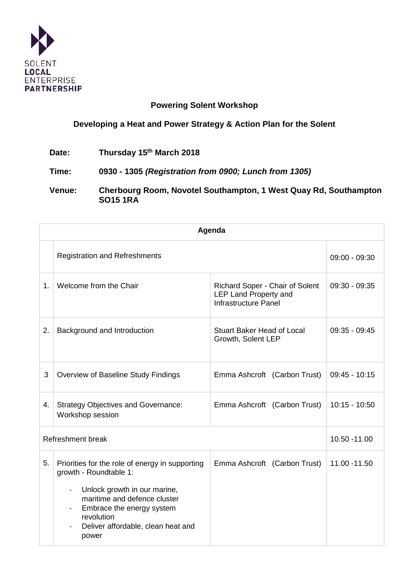

## **Powering Solent Workshop**

## **Developing a Heat and Power Strategy & Action Plan for the Solent**

**Date: Thursday 15th March 2018**

**Time: 0930 - 1305** *(Registration from 0900; Lunch from 1305)*

**Venue: Cherbourg Room, Novotel Southampton, 1 West Quay Rd, Southampton SO15 1RA**

| Agenda            |                                                                                                                                                                                                                                                                                             |                                                                                  |                 |  |
|-------------------|---------------------------------------------------------------------------------------------------------------------------------------------------------------------------------------------------------------------------------------------------------------------------------------------|----------------------------------------------------------------------------------|-----------------|--|
|                   | <b>Registration and Refreshments</b>                                                                                                                                                                                                                                                        |                                                                                  | $09:00 - 09:30$ |  |
| 1.                | Welcome from the Chair                                                                                                                                                                                                                                                                      | Richard Soper - Chair of Solent<br>LEP Land Property and<br>Infrastructure Panel | $09:30 - 09:35$ |  |
| 2.                | Background and Introduction                                                                                                                                                                                                                                                                 | <b>Stuart Baker Head of Local</b><br>Growth, Solent LEP                          | $09:35 - 09:45$ |  |
| 3                 | Overview of Baseline Study Findings                                                                                                                                                                                                                                                         | Emma Ashcroft (Carbon Trust)                                                     | $09:45 - 10:15$ |  |
| 4.                | <b>Strategy Objectives and Governance:</b><br>Workshop session                                                                                                                                                                                                                              | Emma Ashcroft (Carbon Trust)                                                     | $10:15 - 10:50$ |  |
| Refreshment break |                                                                                                                                                                                                                                                                                             |                                                                                  | 10.50 - 11.00   |  |
| 5.                | Priorities for the role of energy in supporting<br>growth - Roundtable 1:<br>Unlock growth in our marine,<br>$\overline{\phantom{a}}$<br>maritime and defence cluster<br>Embrace the energy system<br>$\overline{\phantom{a}}$<br>revolution<br>Deliver affordable, clean heat and<br>power | Emma Ashcroft (Carbon Trust)                                                     | 11.00 - 11.50   |  |